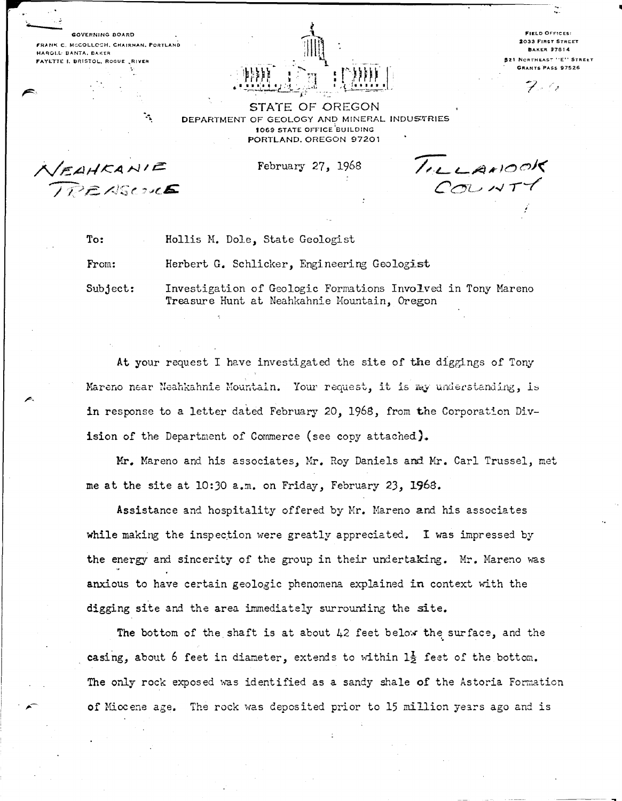GOVERNING BOARD FRANK C. MCCOLLOCH, CHAIRMAN, PORTLAND HAROLL BANTA, BAKER FAYETTE I. BRISTOL, ROGUE , RIVER

٠,



**FIELD OFFICES: 2033 FIRST STREET BAKER 97814** .<br>Northeast "E" Street **GRANTS PASS 97526** 

STATE OF OREGON DEPARTMENT OF GEOLOGY AND MINERAL INDUSTRIES 1069 STATE OFFICE BUILDING PORTLAND, OREGON 97201

/EAHKANIE<br>IREASCOU**E** 

February 27, 1968

TILLANOOK

To: Hollis M. Dole, State Geologist

Herbert G. Schlicker, Engineering Geologist From:

Subject: Investigation of Geologic Formations Involved in Tony Mareno Treasure Hunt at Neahkahnie Mountain, Oregon

At your request I have investigated the site of the diggings of Tony Mareno near Neahkahnie Mountain. Your request, it is my understanding, is in response to a letter dated February 20, 1968, from the Corporation Division of the Department of Commerce (see copy attached).

Mr. Mareno and his associates, Mr. Roy Daniels and Mr. Carl Trussel, met me at the site at 10:30 a.m. on Friday, February 23, 1968.

Assistance and hospitality offered by Mr. Mareno and his associates while making the inspection were greatly appreciated. I was impressed by the energy and sincerity of the group in their undertaking. Mr. Mareno was anxious to have certain geologic phenomena explained in context with the digging site and the area immediately surrounding the site.

The bottom of the shaft is at about  $42$  feet below the surface, and the casing, about 6 feet in diameter, extends to within  $1\frac{1}{2}$  feet of the bottom. The only rock exposed was identified as a sandy shale of the Astoria Formation of Miccene age. The rock was deposited prior to 15 million years ago and is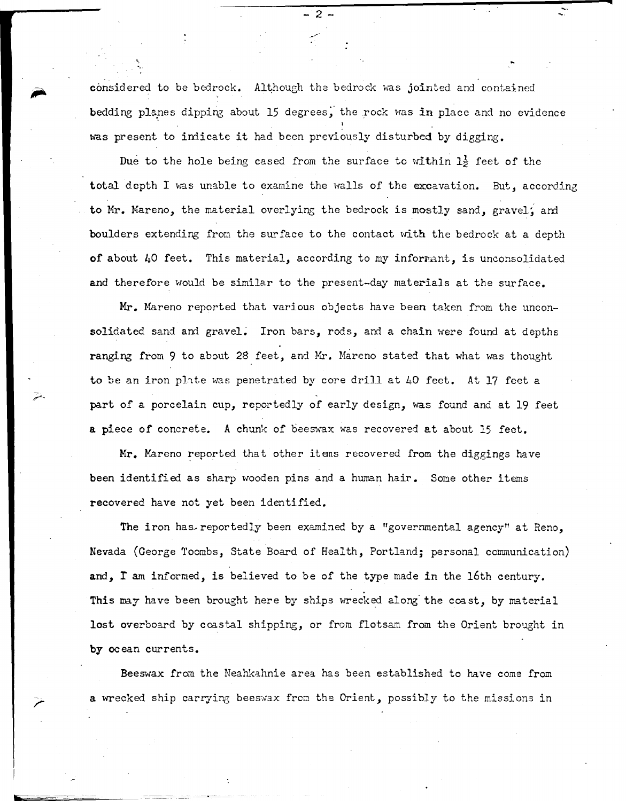considered to be bedrock. Although the bedrock was jointed and contained bedding planes dipping about 15 degrees, the rock was in place and no evidence was present to indicate it had been previously disturbed by digging.

Due to the hole being cased from the surface to within  $1\frac{1}{2}$  feet of the total depth I was unable to examine the walls of the excavation. But, according to Mr. Mareno, the material overlying the bedrock is mostly sand, gravel, and boulders extending from the surface to the contact with the bedrock at a depth of about 40 feet. This material, according to my informant, is unconsolidated and therefore would be similar to the present-day materials at the surface.

**Mr.** Mareno reported that various objects have been taken from the unconsolidated sand and gravel. Iron bars, rods, and a chain were found at depths ranging from 9 to about 28 feet, and Mr. Mareno stated that what was thought to be an iron plate was penetrated by core drill at 40 feet. At 17 feet a part of a porcelain cup, reportedly of early design, was found and at 19 feet **a** piece of concrete. A chunk of beeswax was recovered at about 15 feet.

Mr. Mareno reported that other items recovered from the diggings have been identified as sharp wooden pins and a human hair. Some other items recovered have not yet been identified.

The iron has reportedly been examined by a "governmental agency" at Reno, Nevada (George Toombs, State Board of Health, Portland; personal communication) and, I am informed, is believed to be of the type made in the 16th century. This may have been brought here by ships wrecked along the coast, by material lost overboard by coastal shipping, or from flotsam from the Orient brought in **by** ocean currents.

Beeswax from the Neahkahnie area has been established to have come from a wrecked ship carrying beeswax from the Orient, possibly to the missions in

**liZZZ** 

 $\overline{2}$ \_ \_...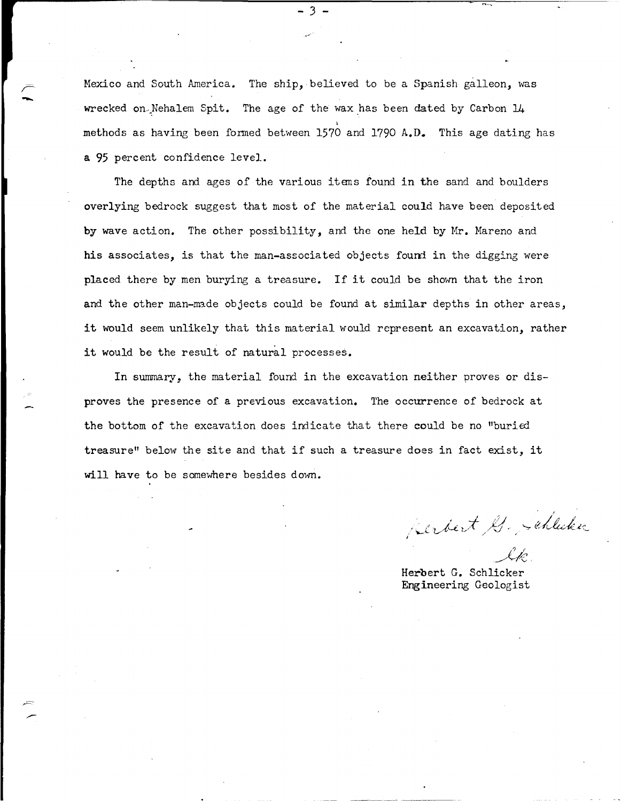Mexico and South America. The ship, believed to be a Spanish galleon, was wrecked on Nehalem Spit. The age of the wax has been dated by Carbon  $14$ methods as having been formed between 1570 and 1790 A.D. This age dating has a 95 percent confidence level.

- 3

The depths and ages of the various itens found in the sand and boulders overlying bedrock suggest that most of the material could have been deposited by wave action. The other possibility, and the one held by Mr. Mareno and his associates, is that the man-associated objects found in the digging were placed there by men burying a treasure. If it could be shown that the iron and the other man-made objects could be found at similar depths in other areas, it would seem unlikely that this material would represent an excavation, rather it would be the result of natural processes.

In summary, the material found in the excavation neither proves or disproves the presence of a previous excavation. The occurrence of bedrock at the bottom of the excavation does indicate that there could be no "buried treasure" below the site and that if such a treasure does in fact exist, it will have to be somewhere besides down.

perbert G. Schlicker

*<sup>1</sup>*r (\_r.c, \_\_,./ 1'\. .

Herbert G. Schlicker Engineering Geologist